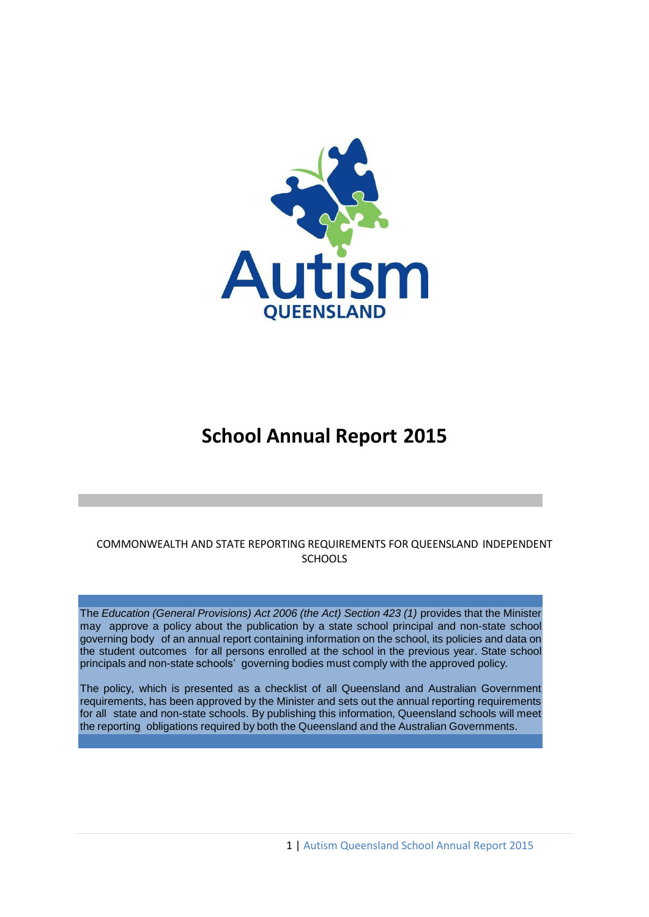

# **School Annual Report 2015**

# COMMONWEALTH AND STATE REPORTING REQUIREMENTS FOR QUEENSLAND INDEPENDENT **SCHOOLS**

The *Education (General Provisions) Act 2006 (the Act) Section 423 (1)* provides that the Minister may approve a policy about the publication by a state school principal and non-state school governing body of an annual report containing information on the school, its policies and data on the student outcomes for all persons enrolled at the school in the previous year. State school principals and non-state schools' governing bodies must comply with the approved policy*.*

The policy, which is presented as a checklist of all Queensland and Australian Government requirements, has been approved by the Minister and sets out the annual reporting requirements for all state and non-state schools. By publishing this information, Queensland schools will meet the reporting obligations required by both the Queensland and the Australian Governments.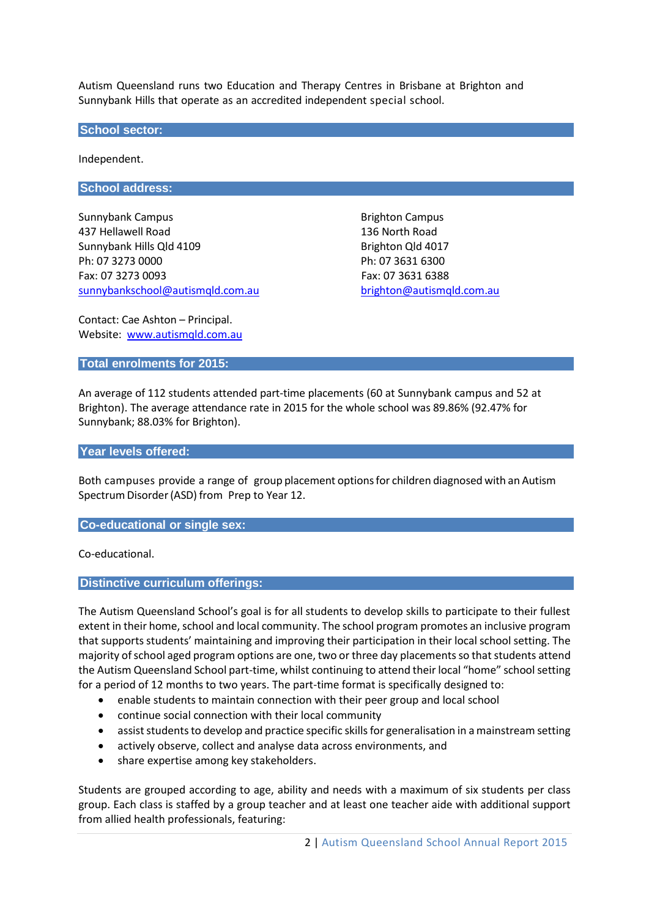Autism Queensland runs two Education and Therapy Centres in Brisbane at Brighton and Sunnybank Hills that operate as an accredited independent special school.

#### **School sector:**

Independent.

#### **School address:**

Sunnybank Campus **Brighton Campus** Brighton Campus 437 Hellawell Road 136 North Road Sunnybank Hills Qld 4109 Brighton Qld 4017 Ph: 07 3273 0000 Ph: 07 3631 6300 Fax: 07 3273 0093 Fax: 07 3631 6388 [sunnybankschool@autismqld.com.au](mailto:sunnybankschool@autismqld.com.au) [brighton@autismqld.com.au](mailto:righton@autismqld.com.au)

Contact: Cae Ashton – Principal. Website: [www.autismqld.com.au](http://www.autismqld.com.au/)

#### **Total enrolments for 2015:**

An average of 112 students attended part-time placements (60 at Sunnybank campus and 52 at Brighton). The average attendance rate in 2015 for the whole school was 89.86% (92.47% for Sunnybank; 88.03% for Brighton).

#### **Year levels offered:**

Both campuses provide a range of group placement optionsfor children diagnosed with an Autism Spectrum Disorder (ASD) from Prep to Year 12.

#### **Co-educational or single sex:**

Co-educational.

#### **Distinctive curriculum offerings:**

The Autism Queensland School's goal is for all students to develop skills to participate to their fullest extent in their home, school and local community. The school program promotes an inclusive program that supports students' maintaining and improving their participation in their local school setting. The majority of school aged program options are one, two or three day placementsso that students attend the Autism Queensland School part-time, whilst continuing to attend their local "home" school setting for a period of 12 months to two years. The part-time format is specifically designed to:

- enable students to maintain connection with their peer group and local school
- continue social connection with their local community
- assist students to develop and practice specific skills for generalisation in a mainstream setting
- actively observe, collect and analyse data across environments, and
- share expertise among key stakeholders.

Students are grouped according to age, ability and needs with a maximum of six students per class group. Each class is staffed by a group teacher and at least one teacher aide with additional support from allied health professionals, featuring: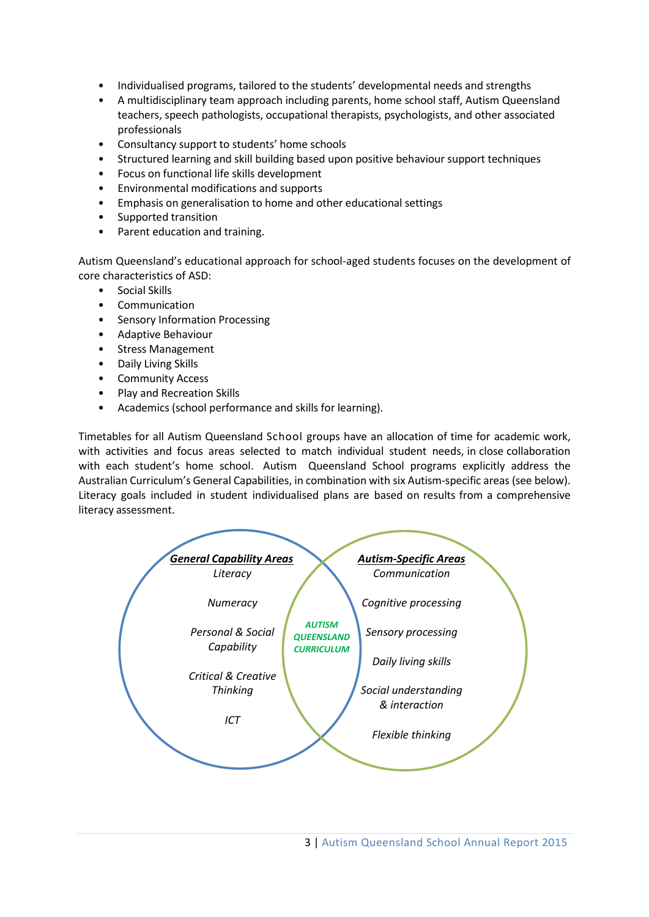- Individualised programs, tailored to the students' developmental needs and strengths
- A multidisciplinary team approach including parents, home school staff, Autism Queensland teachers, speech pathologists, occupational therapists, psychologists, and other associated professionals
- Consultancy support to students' home schools
- Structured learning and skill building based upon positive behaviour support techniques
- Focus on functional life skills development
- Environmental modifications and supports
- Emphasis on generalisation to home and other educational settings
- Supported transition
- Parent education and training.

Autism Queensland's educational approach for school-aged students focuses on the development of core characteristics of ASD:

- Social Skills
- **Communication**
- Sensory Information Processing
- Adaptive Behaviour
- Stress Management
- Daily Living Skills
- Community Access
- Play and Recreation Skills
- Academics (school performance and skills for learning).

Timetables for all Autism Queensland School groups have an allocation of time for academic work, with activities and focus areas selected to match individual student needs, in close collaboration with each student's home school. Autism Queensland School programs explicitly address the Australian Curriculum's General Capabilities, in combination with six Autism-specific areas (see below). Literacy goals included in student individualised plans are based on results from a comprehensive literacy assessment.

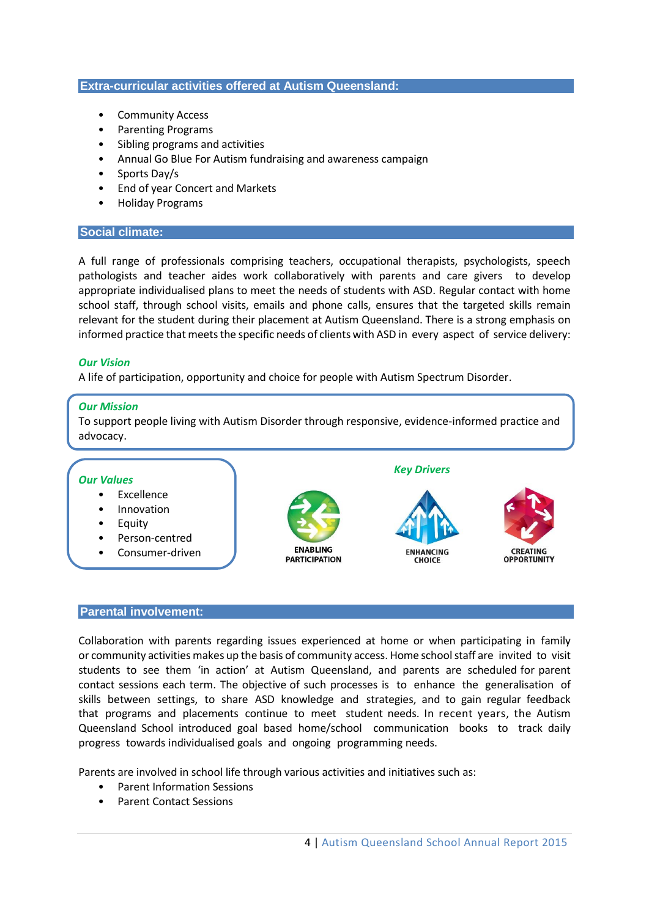#### **Extra-curricular activities offered at Autism Queensland:**

- Community Access
- Parenting Programs
- Sibling programs and activities
- Annual Go Blue For Autism fundraising and awareness campaign
- Sports Day/s
- End of year Concert and Markets
- Holiday Programs

#### **Social climate:**

A full range of professionals comprising teachers, occupational therapists, psychologists, speech pathologists and teacher aides work collaboratively with parents and care givers to develop appropriate individualised plans to meet the needs of students with ASD. Regular contact with home school staff, through school visits, emails and phone calls, ensures that the targeted skills remain relevant for the student during their placement at Autism Queensland. There is a strong emphasis on informed practice that meets the specific needs of clients with ASD in every aspect of service delivery:

#### *Our Vision*

A life of participation, opportunity and choice for people with Autism Spectrum Disorder.

#### *Our Mission*

To support people living with Autism Disorder through responsive, evidence-informed practice and advocacy.



#### **Parental involvement:**

Collaboration with parents regarding issues experienced at home or when participating in family or community activities makes up the basis of community access. Home schoolstaff are invited to visit students to see them 'in action' at Autism Queensland, and parents are scheduled for parent contact sessions each term. The objective of such processes is to enhance the generalisation of skills between settings, to share ASD knowledge and strategies, and to gain regular feedback that programs and placements continue to meet student needs. In recent years, the Autism Queensland School introduced goal based home/school communication books to track daily progress towards individualised goals and ongoing programming needs.

Parents are involved in school life through various activities and initiatives such as:

- Parent Information Sessions
- Parent Contact Sessions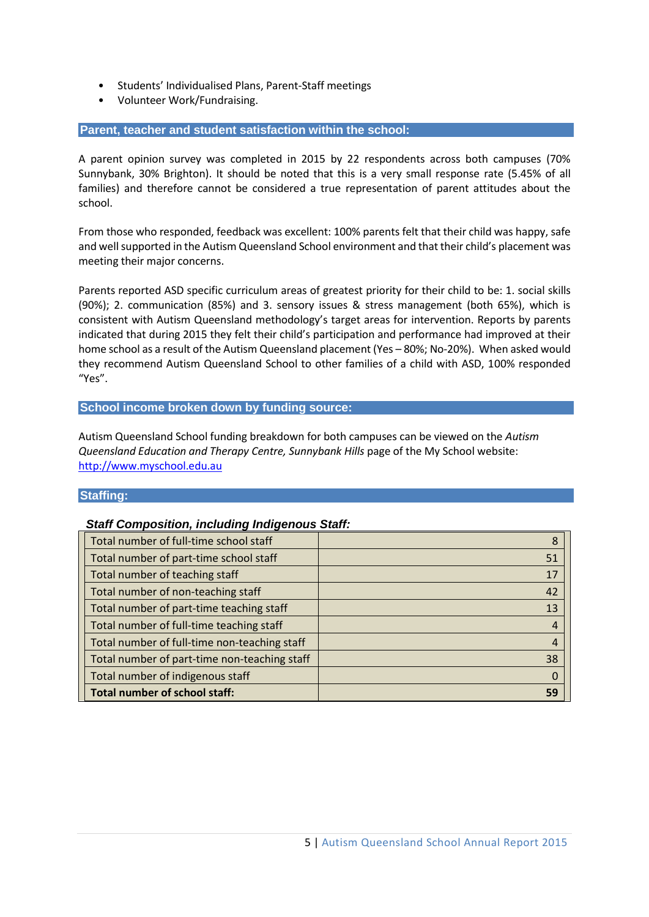- Students' Individualised Plans, Parent-Staff meetings
- Volunteer Work/Fundraising.

#### **Parent, teacher and student satisfaction within the school:**

A parent opinion survey was completed in 2015 by 22 respondents across both campuses (70% Sunnybank, 30% Brighton). It should be noted that this is a very small response rate (5.45% of all families) and therefore cannot be considered a true representation of parent attitudes about the school.

From those who responded, feedback was excellent: 100% parents felt that their child was happy, safe and well supported in the Autism Queensland School environment and that their child's placement was meeting their major concerns.

Parents reported ASD specific curriculum areas of greatest priority for their child to be: 1. social skills (90%); 2. communication (85%) and 3. sensory issues & stress management (both 65%), which is consistent with Autism Queensland methodology's target areas for intervention. Reports by parents indicated that during 2015 they felt their child's participation and performance had improved at their home school as a result of the Autism Queensland placement (Yes – 80%; No-20%). When asked would they recommend Autism Queensland School to other families of a child with ASD, 100% responded "Yes".

#### **School income broken down by funding source:**

Autism Queensland School funding breakdown for both campuses can be viewed on the *Autism Queensland Education and Therapy Centre, Sunnybank Hills* page of the My School website: [http://www.myschool.edu.au](http://www.myschool.edu.au/)

#### **Staffing:**

# *Staff Composition, including Indigenous Staff:*

| Total number of full-time school staff       | 8                |
|----------------------------------------------|------------------|
| Total number of part-time school staff       | 51               |
| Total number of teaching staff               | 17               |
| Total number of non-teaching staff           | 42               |
| Total number of part-time teaching staff     | 13               |
| Total number of full-time teaching staff     | $\overline{4}$   |
| Total number of full-time non-teaching staff | $\overline{4}$   |
| Total number of part-time non-teaching staff | 38               |
| Total number of indigenous staff             | $\boldsymbol{0}$ |
| <b>Total number of school staff:</b>         | 59               |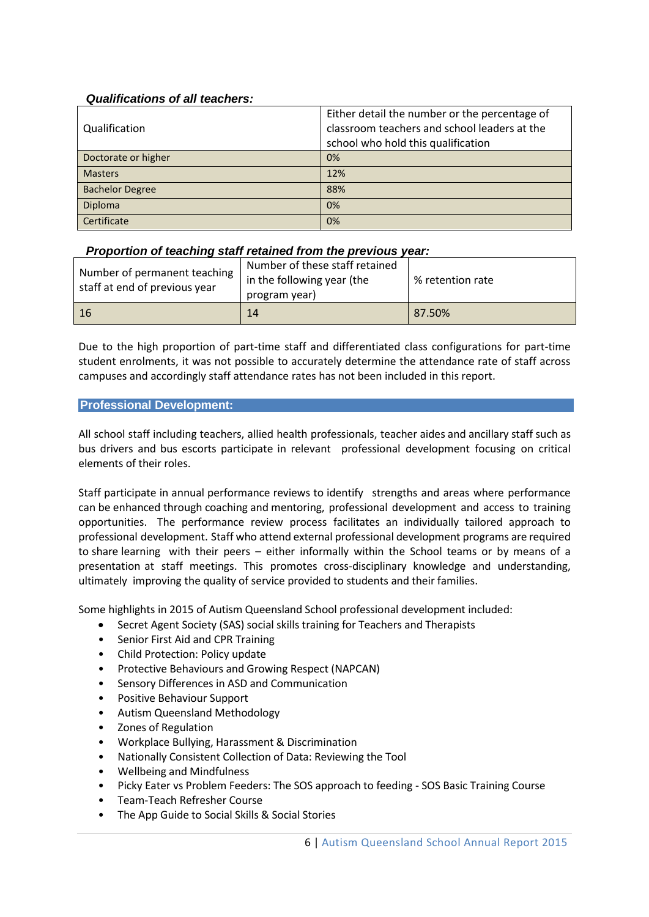# *Qualifications of all teachers:*

|                        | Either detail the number or the percentage of |  |
|------------------------|-----------------------------------------------|--|
| Qualification          | classroom teachers and school leaders at the  |  |
|                        | school who hold this qualification            |  |
| Doctorate or higher    | 0%                                            |  |
| <b>Masters</b>         | 12%                                           |  |
| <b>Bachelor Degree</b> | 88%                                           |  |
| Diploma                | 0%                                            |  |
| Certificate            | 0%                                            |  |

# *Proportion of teaching staff retained from the previous year:*

| Number of permanent teaching<br>staff at end of previous year | Number of these staff retained<br>in the following year (the<br>program year) | % retention rate |
|---------------------------------------------------------------|-------------------------------------------------------------------------------|------------------|
| 16                                                            | 14                                                                            | 87.50%           |

Due to the high proportion of part-time staff and differentiated class configurations for part-time student enrolments, it was not possible to accurately determine the attendance rate of staff across campuses and accordingly staff attendance rates has not been included in this report.

### **Professional Development:**

All school staff including teachers, allied health professionals, teacher aides and ancillary staff such as bus drivers and bus escorts participate in relevant professional development focusing on critical elements of their roles.

Staff participate in annual performance reviews to identify strengths and areas where performance can be enhanced through coaching and mentoring, professional development and access to training opportunities. The performance review process facilitates an individually tailored approach to professional development. Staff who attend external professional development programs are required to share learning with their peers – either informally within the School teams or by means of a presentation at staff meetings. This promotes cross-disciplinary knowledge and understanding, ultimately improving the quality of service provided to students and their families.

Some highlights in 2015 of Autism Queensland School professional development included:

- Secret Agent Society (SAS) social skills training for Teachers and Therapists
- Senior First Aid and CPR Training
- Child Protection: Policy update
- Protective Behaviours and Growing Respect (NAPCAN)
- Sensory Differences in ASD and Communication
- Positive Behaviour Support
- Autism Queensland Methodology
- Zones of Regulation
- Workplace Bullying, Harassment & Discrimination
- Nationally Consistent Collection of Data: Reviewing the Tool
- Wellbeing and Mindfulness
- Picky Eater vs Problem Feeders: The SOS approach to feeding SOS Basic Training Course
- Team-Teach Refresher Course
- The App Guide to Social Skills & Social Stories